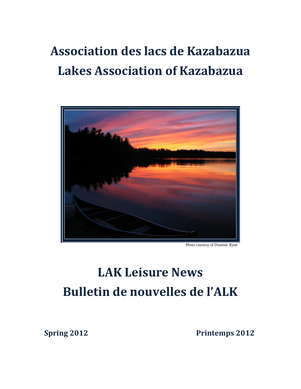## **Association des lacs de Kazabazua Lakes Association of Kazabazua**



Photo courtesy of Dominic Ryan

# **LAK Leisure News Bulletin de nouvelles de l'ALK**

**Spring 2012** Printemps 2012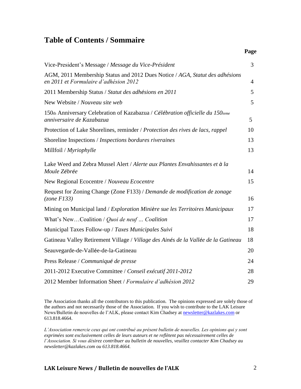### **Table of Contents / Sommaire**

|                                                                                                                       | Page           |
|-----------------------------------------------------------------------------------------------------------------------|----------------|
| Vice-President's Message / Message du Vice-Président                                                                  | 3              |
| AGM, 2011 Membership Status and 2012 Dues Notice / AGA, Statut des adhésions<br>en 2011 et Formulaire d'adhésion 2012 | $\overline{4}$ |
| 2011 Membership Status / Statut des adhésions en 2011                                                                 | 5              |
| New Website / Nouveau site web                                                                                        | 5              |
| 150th Anniversary Celebration of Kazabazua / Célébration officielle du 150ieme<br>anniversaire de Kazabazua           | 5              |
| Protection of Lake Shorelines, reminder / Protection des rives de lacs, rappel                                        | 10             |
| Shoreline Inspections / Inspections bordures riveraines                                                               | 13             |
| Millfoil / Myriophylle                                                                                                | 13             |
| Lake Weed and Zebra Mussel Alert / Alerte aux Plantes Envahissantes et à la<br>Moule Zébrée                           | 14             |
| New Regional Ecocentre / Nouveau Ecocentre                                                                            | 15             |
| Request for Zoning Change (Zone F133) / Demande de modification de zonage<br>(zone Fl33)                              | 16             |
| Mining on Municipal land / Exploration Minière sue les Territoires Municipaux                                         | 17             |
| What's NewCoalition / Quoi de neuf  Coalition                                                                         | 17             |
| Municipal Taxes Follow-up / Taxes Municipales Suivi                                                                   | 18             |
| Gatineau Valley Retirement Village / Village des Ainés de la Vallée de la Gatineau                                    | 18             |
| Seauvegarde-de-Vallée-de-la-Gatineau                                                                                  | 20             |
| Press Release / Communiqué de presse                                                                                  | 24             |
| 2011-2012 Executive Committee / Conseil exécutif 2011-2012                                                            | 28             |
| 2012 Member Information Sheet / Formulaire d'adhésion 2012                                                            | 29             |

The Association thanks all the contributors to this publication. The opinions expressed are solely those of the authors and not necessarily those of the Association. If you wish to contribute to the LAK Leisure News/Bulletin de nouvelles de l'ALK, please contact Kim Chadsey at [newsletter@kazlakes.com](mailto:newsletter@kazlakes.com) or 613.818.4664.

*L'Association remercie ceux qui ont contribué au présent bulletin de nouvelles. Les opinions qui y sont exprimées sont exclusivement celles de leurs auteurs et ne reflètent pas nécessairement celles de l'Association. Si vous désirez contribuer au bulletin de nouvelles, veuillez contacter Kim Chadsey au newsletter@kazlakes.com ou 613.818.4664.*

#### **LAK Leisure News / Bulletin de nouvelles de l'ALK** 2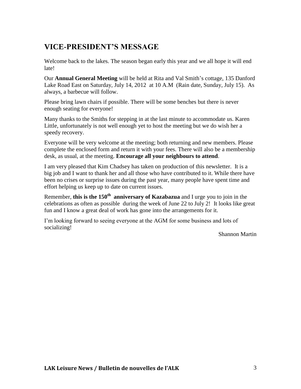### **VICE-PRESIDENT'S MESSAGE**

Welcome back to the lakes. The season began early this year and we all hope it will end late!

Our **Annual General Meeting** will be held at Rita and Val Smith's cottage, 135 Danford Lake Road East on Saturday, July 14, 2012 at 10 A.M (Rain date, Sunday, July 15). As always, a barbecue will follow.

Please bring lawn chairs if possible. There will be some benches but there is never enough seating for everyone!

Many thanks to the Smiths for stepping in at the last minute to accommodate us. Karen Little, unfortunately is not well enough yet to host the meeting but we do wish her a speedy recovery.

Everyone will be very welcome at the meeting; both returning and new members. Please complete the enclosed form and return it with your fees. There will also be a membership desk, as usual, at the meeting. **Encourage all your neighbours to attend**.

I am very pleased that Kim Chadsey has taken on production of this newsletter. It is a big job and I want to thank her and all those who have contributed to it. While there have been no crises or surprise issues during the past year, many people have spent time and effort helping us keep up to date on current issues.

Remember, **this is the 150th anniversary of Kazabazua** and I urge you to join in the celebrations as often as possible during the week of June 22 to July 2! It looks like great fun and I know a great deal of work has gone into the arrangements for it.

I'm looking forward to seeing everyone at the AGM for some business and lots of socializing!

Shannon Martin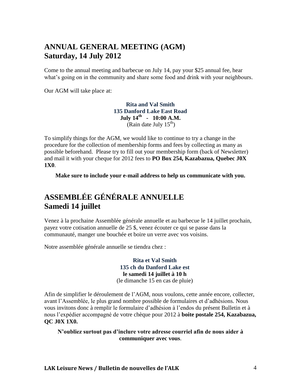### **ANNUAL GENERAL MEETING (AGM) Saturday, 14 July 2012**

Come to the annual meeting and barbecue on July 14, pay your \$25 annual fee, hear what's going on in the community and share some food and drink with your neighbours.

Our AGM will take place at:

**Rita and Val Smith 135 Danford Lake East Road July 14 th - 10:00 A.M.** (Rain date July  $15<sup>th</sup>$ )

To simplify things for the AGM, we would like to continue to try a change in the procedure for the collection of membership forms and fees by collecting as many as possible beforehand. Please try to fill out your membership form (back of Newsletter) and mail it with your cheque for 2012 fees to **PO Box 254, Kazabazua, Quebec J0X 1X0**.

**Make sure to include your e-mail address to help us communicate with you.**

### **ASSEMBLÉE GÉNÉRALE ANNUELLE Samedi 14 juillet**

Venez à la prochaine Assemblée générale annuelle et au barbecue le 14 juillet prochain, payez votre cotisation annuelle de 25 \$, venez écouter ce qui se passe dans la communauté, manger une bouchée et boire un verre avec vos voisins.

Notre assemblée générale annuelle se tiendra chez :

**Rita et Val Smith 135 ch du Danford Lake est le samedi 14 juillet à 10 h** (le dimanche 15 en cas de pluie)

Afin de simplifier le déroulement de l'AGM, nous voulons, cette année encore, collecter, avant l'Assemblée, le plus grand nombre possible de formulaires et d'adhésions. Nous vous invitons donc à remplir le formulaire d'adhésion à l'endos du présent Bulletin et à nous l'expédier accompagné de votre chèque pour 2012 à **boite postale 254, Kazabazua, QC J0X 1X0.**

**N'oubliez surtout pas d'inclure votre adresse courriel afin de nous aider à communiquer avec vous**.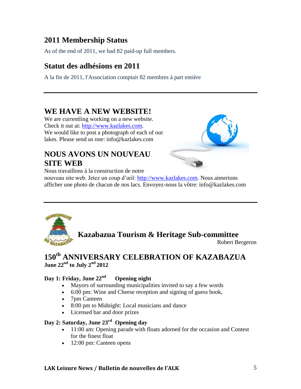### **2011 Membership Status**

As of the end of 2011, we had 82 paid-up full members.

### **Statut des adhésions en 2011**

A la fin de 2011, l'Association comptait 82 membres à part entière

### **WE HAVE A NEW WEBSITE!**

We are currentling working on a new website. Check it out at: [http://www.kazlakes.com.](http://www.kazlakes.com/) We would like to post a photograph of each of our lakes. Please send us one: info@kazlakes.com

### **NOUS AVONS UN NOUVEAU SITE WEB**



Nous travaillons à la construction de notre

nouveau site web. Jetez un coup d'œil: [http://www.kazlakes.com.](http://www.kazlakes.com/) Nous aimerions afficher une photo de chacun de nos lacs. Envoyez-nous la vôtre: info@kazlakes.com



### **Kazabazua Tourism & Heritage Sub-committee**

Robert Bergeron

### **150th ANNIVERSARY CELEBRATION OF KAZABAZUA June 22nd to July 2nd 2012**

### **Day 1: Friday, June 22nd Opening night**

- Mayors of surrounding municipalities invited to say a few words
- 6:00 pm: Wine and Cheese reception and signing of guess book,
- 7pm Canteen
- 8:00 pm to Midnight: Local musicians and dance
- Licensed bar and door prizes

### **Day 2: Saturday, June 23rd Opening day**

- 11:00 am: Opening parade with floats adorned for the occasion and Contest for the finest float
- 12:00 pm: Canteen opens

### **LAK Leisure News / Bulletin de nouvelles de l'ALK** 5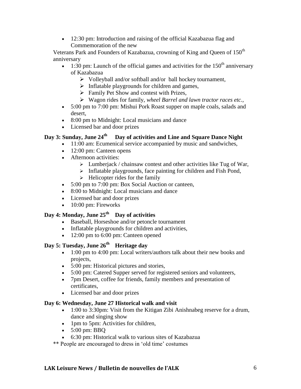• 12:30 pm: Introduction and raising of the official Kazabazua flag and Commemoration of the new

Veterans Park and Founders of Kazabazua, crowning of King and Queen of 150<sup>th</sup> anniversary

- $\bullet$  1:30 pm: Launch of the official games and activities for the 150<sup>th</sup> anniversary of Kazabazua
	- $\triangleright$  Volleyball and/or softball and/or ball hockey tournament,
	- $\triangleright$  Inflatable playgrounds for children and games,
	- $\triangleright$  Family Pet Show and contest with Prizes,
	- Wagon rides for family, *wheel Barrel and lawn tractor races etc.,*
- 5:00 pm to 7:00 pm: Mishui Pork Roast supper on maple coals, salads and desert,
- 8:00 pm to Midnight: Local musicians and dance
- Licensed bar and door prizes

### **Day 3: Sunday, June 24th Day of activities and Line and Square Dance Night**

- 11:00 am: Ecumenical service accompanied by music and sandwiches,
- 12:00 pm: Canteen opens
- Afternoon activities:
	- $\triangleright$  Lumberjack / chainsaw contest and other activities like Tug of War,
	- $\triangleright$  Inflatable playgrounds, face painting for children and Fish Pond,
	- $\triangleright$  Helicopter rides for the family
- 5:00 pm to 7:00 pm: Box Social Auction or canteen,
- 8:00 to Midnight: Local musicians and dance
- Licensed bar and door prizes
- $\bullet$  10:00 pm: Fireworks

### **Day 4: Monday, June 25th Day of activities**

- Baseball, Horseshoe and/or petoncle tournament
- Inflatable playgrounds for children and activities,
- 12:00 pm to 6:00 pm: Canteen opened

### **Day 5: Tuesday, June 26th Heritage day**

- 1:00 pm to 4:00 pm: Local writers/authors talk about their new books and projects,
- 5:00 pm: Historical pictures and stories,
- 5:00 pm: Catered Supper served for registered seniors and volunteers,
- 7pm Desert, coffee for friends, family members and presentation of certificates,
- Licensed bar and door prizes

#### **Day 6: Wednesday, June 27 Historical walk and visit**

- 1:00 to 3:30pm: Visit from the Kitigan Zibi Anishnabeg reserve for a drum, dance and singing show
- 1pm to 5pm: Activities for children,
- $\bullet$  5:00 pm: BBO
- 6:30 pm: Historical walk to various sites of Kazabazua
- \*\* People are encouraged to dress in 'old time' costumes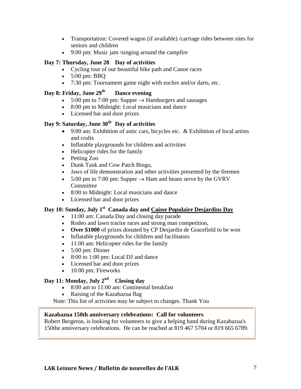- Transportation: Covered wagon (if available) /carriage rides between sites for seniors and children
- 9:00 pm: Music jam /singing around the campfire

#### **Day 7: Thursday, June 28 Day of activities**

- Cycling tour of our beautiful bike path and Canoe races
- $\bullet$  5:00 pm: BBO
- 7:30 pm: Tournament game night with euchre and/or darts, etc.

#### **Day 8: Friday, June 29th Dance evening**

- $\bullet$  5:00 pm to 7:00 pm: Supper  $\rightarrow$  Hamburgers and sausages
- 8:00 pm to Midnight: Local musicians and dance
- Licensed bar and door prizes

### **Day 9: Saturday, June 30th Day of activities**

- 9:00 am: Exhibition of antic cars, bicycles etc.  $\&$  Exhibition of local artists and crafts
- Inflatable playgrounds for children and activities
- Helicopter rides for the family
- Petting Zoo
- Dunk Tank and Cow Patch Bingo,
- Jaws of life demonstration and other activities presented by the firemen
- $\bullet$  5:00 pm to 7:00 pm: Supper  $\rightarrow$  Ham and beans serve by the GVRV Committee
- 8:00 to Midnight: Local musicians and dance
- Licensed bar and door prizes

### **Day 10: Sunday, July 1st Canada day and Caisse Populaire Desjardins Day**

- 11:00 am: Canada Day and closing day parade
- Rodeo and lawn tractor races and strong man competition,
- **Over \$1000** of prizes donated by CP Desjardin de Gracefield to be won
- Inflatable playgrounds for children and facilitators
- 11:00 am: Helicopter rides for the family
- $\bullet$  5:00 pm: Dinner
- 8:00 to 1:00 pm: Local DJ and dance
- Licensed bar and door prizes
- $\bullet$  10:00 pm: Fireworks

### **Day 11: Monday, July 2nd Closing day**

- 8:00 am to 11:00 am: Continental breakfast
- Raising of the Kazabazua flag

Note: This list of activities may be subject to changes. Thank You

#### **Kazabazua 150th anniversary celebrations: Call for volunteers**

Robert Bergeron, is looking for volunteers to give a helping hand during Kazabazua's 150the anniversary celebrations. He can be reached at 819 467 5704 or 819 665 6789.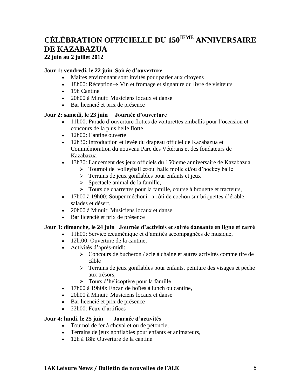### **CÉLÉBRATION OFFICIELLE DU 150IEME ANNIVERSAIRE DE KAZABAZUA**

**22 juin au 2 juillet 2012**

#### **Jour 1: vendredi, le 22 juin Soirée d'ouverture**

- Maires environnant sont invités pour parler aux citoyens
- $\bullet$  18h00: Réception  $\rightarrow$  Vin et fromage et signature du livre de visiteurs
- 19h Cantine
- 20h00 à Minuit: Musiciens locaux et danse
- Bar licencié et prix de présence

#### **Jour 2: samedi, le 23 juin Journée d'ouverture**

- 11h00: Parade d'ouverture flottes de voiturettes embellis pour l'occasion et concours de la plus belle flotte
- 12h00: Cantine ouverte
- 12h30: Introduction et levée du drapeau officiel de Kazabazua et Commémoration du nouveau Parc des Vétérans et des fondateurs de Kazabazua
- 13h30: Lancement des jeux officiels du 150ieme anniversaire de Kazabazua
	- > Tournoi de volleyball et/ou balle molle et/ou d'hockey balle
	- > Terrains de jeux gonflables pour enfants et jeux
	- $\triangleright$  Spectacle animal de la famille,
	- $\triangleright$  Tours de charrettes pour la famille, course à brouette et tracteurs,
- 17h00 à 19h00: Souper méchoui  $\rightarrow$  rôti de cochon sur briquettes d'érable, salades et désert,
- 20h00 à Minuit: Musiciens locaux et danse
- Bar licencié et prix de présence

#### **Jour 3: dimanche, le 24 juin Journée d'activités et soirée dansante en ligne et carré**

- 11h00: Service œcuménique et d'amitiés accompagnées de musique,
	- 12h:00: Ouverture de la cantine,
	- Activités d'après-midi:
		- $\geq$  Concours de bucheron / scie à chaine et autres activités comme tire de câble
		- Terrains de jeux gonflables pour enfants, peinture des visages et pèche aux trésors,
		- > Tours d'hélicoptère pour la famille
	- 17h00 à 19h00: Encan de boîtes à lunch ou cantine.
	- 20h00 à Minuit: Musiciens locaux et danse
	- Bar licencié et prix de présence
	- 22h00: Feux d'artifices

#### **Jour 4: lundi, le 25 juin Journée d'activités**

- Tournoi de fer à cheval et ou de pétoncle,
- Terrains de jeux gonflables pour enfants et animateurs,
- 12h à 18h: Ouverture de la cantine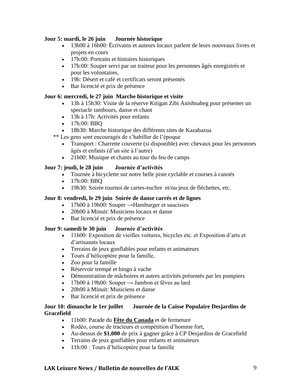#### **Jour 5: mardi, le 26 juin Journée historique**

- 13h00 à 16h00: Écrivains et auteurs locaux parlent de leurs nouveaux livres et projets en cours
- 17h:00: Portraits et histoires historiques
- 17h:00: Souper servi par un traiteur pour les personnes âgés enregistrés et pour les volontaires,
- 19h: Désert et café et certificats seront présentés
- Bar licencié et prix de présence

#### **Jour 6: mercredi, le 27 juin Marche historique et visite**

- 13h à 15h30: Visite de la réserve Kitigan Zibi Anishnabeg pour présenter un spectacle tambours, danse et chant
- 13h à 17h: Activités pour enfants
- 17h:00: BBO
- 18h30: Marche historique des différents sites de Kazabazua

\*\* Les gens sont encouragés de s'habiller de l'époque

- Transport : Charrette couverte (si disponible) avec chevaux pour les personnes âgés et enfants (d'un site à l'autre)
- 21h00: Musique et chants au tour du feu de camps

#### **Jour 7: jeudi, le 28 juin Journée d'activités**

- Tournée à bicyclette sur notre belle piste cyclable et courses à canoës
- $\bullet$  17h:00: BBO
- 19h30: Soirée tournoi de cartes-euchre et/ou jeux de fléchettes, etc.

#### **Jour 8: vendredi, le 29 juin Soirée de danse carrés et de lignes**

- 17h00 à 19h00: Souper  $\rightarrow$ Hamburger et saucisses
- 20h00 à Minuit: Musiciens locaux et danse
- Bar licencié et prix de présence

#### **Jour 9: samedi le 30 juin Journée d'activités**

- 11h00: Exposition de vieilles voitures, bicycles etc. et Exposition d'arts et d'artisanats locaux
- Terrains de jeux gonflables pour enfants et animateurs
- Tours d'hélicoptère pour la famille,
- Zoo pour la famille
- Réservoir trempé et bingo à vache
- Démonstration de mâchoires et autres activités présentés par les pompiers
- $\cdot$  17h00 à 19h00: Souper  $\rightarrow$  Jambon et fèves au lard
- 20h00 à Minuit: Musiciens et danse
- Bar licencié et prix de présence

#### **Jour 10: dimanche le 1er juillet Journée de la Caisse Populaire Desjardins de Gracefield**

- 11h00: Parade du **Fête du Canada** et de fermeture
- Rodéo, course de tracteurs et compétition d'homme fort,
- Au-dessus de **\$1,000** de prix à gagner grâce à CP Desjardins de Gracefield
- Terrains de jeux gonflables pour enfants et animateurs
- 11h:00 : Tours d'hélicoptère pour la famille

#### **LAK Leisure News / Bulletin de nouvelles de l'ALK** 9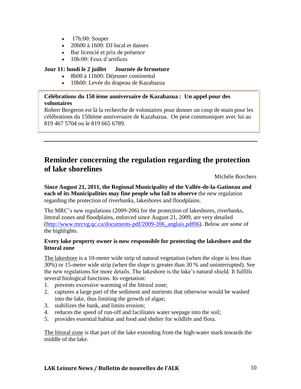- $\bullet$  17h:00: Souper
- 20h00 à 1h00: DJ local et danses
- Bar licencié et prix de présence
- 10h:00: Feux d'artifices

#### **Jour 11: lundi le 2 juillet Journée de fermeture**

- 8h00 à 11h00: Déjeuner continental
- 10h00: Levée du drapeau de Kazabazua

#### **Célébrations du 150 ième anniversaire de Kazabazua : Un appel pour des volontaires**

Robert Bergeron est là la recherche de volontaires pour donner un coup de main pour les célébrations du 150ième anniversaire de Kazabazua. On peut communiquer avec lui au 819 467 5704 ou le 819 665 6789.

### **Reminder concerning the regulation regarding the protection of lake shorelines**

Michèle Borchers

**Since August 21, 2011, the Regional Municipality of the Vallée-de-la-Gatineau and each of its Municipalities may fine people who fail to observe** the new regulation regarding the protection of riverbanks, lakeshores and floodplains.

The MRC's new regulations (2009-206) for the protection of lakeshores, riverbanks, littoral zones and floodplains, enforced since August 21, 2009, are very detailed [\(http://www.mrcvg.qc.ca/documents-pdf/2009-206\\_anglais.pdf06\)](http://www.mrcvg.qc.ca/documents-pdf/2009-206_anglais.pdf06). Below are *some* of the highlights.

#### **Every lake property owner is now responsible for protecting the lakeshore and the littoral zone**

The lakeshore is a 10-meter wide strip of natural vegetation (when the slope is less than 30%) or 15-meter wide strip (when the slope is greater than 30 % and uninterrupted). See the new regulations for more details. The lakeshore is the lake's natural shield. It fulfills several biological functions. Its vegetation:

- 1. prevents excessive warming of the littoral zone;
- 2. captures a large part of the sediment and nutrients that otherwise would be washed into the lake, thus limiting the growth of algae;
- 3. stabilizes the bank, and limits erosion;
- 4. reduces the speed of run-off and facilitates water seepage into the soil;
- 5. provides essential habitat and food and shelter for wildlife and flora.

The littoral zone is that part of the lake extending from the high-water mark towards the middle of the lake.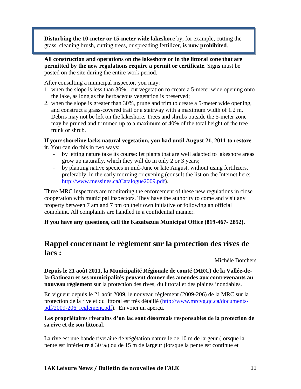**Disturbing the 10-meter or 15-meter wide lakeshore** by, for example, cutting the grass, cleaning brush, cutting trees, or spreading fertilizer, **is now prohibited**.

**All construction and operations on the lakeshore or in the littoral zone that are permitted by the new regulations require a permit or certificate**. Signs must be posted on the site during the entire work period.

After consulting a municipal inspector, you may:

- 1. when the slope is less than 30%, cut vegetation to create a 5-meter wide opening onto the lake, as long as the herbaceous vegetation is preserved;
- 2. when the slope is greater than 30%, prune and trim to create a 5-meter wide opening, and construct a grass-covered trail or a stairway with a maximum width of 1.2 m. Debris may not be left on the lakeshore. Trees and shrubs outside the 5-meter zone may be pruned and trimmed up to a maximum of 40% of the total height of the tree trunk or shrub.

### **If your shoreline lacks natural vegetation, you had until August 21, 2011 to restore**

**it**. You can do this in two ways:

- by letting nature take its course: let plants that are well adapted to lakeshore areas grow up naturally, which they will do in only 2 or 3 years;
- by planting native species in mid-June or late August, without using fertilizers, preferably in the early morning or evening (consult the list on the Internet here: [http://www.messines.ca/Catalogue2009.pdf\)](http://www.messines.ca/Catalogue2009.pdf).

Three MRC inspectors are monitoring the enforcement of these new regulations in close cooperation with municipal inspectors. They have the authority to come and visit any property between 7 am and 7 pm on their own initiative or following an official complaint. All complaints are handled in a confidential manner.

**If you have any questions, call the Kazabazua Municipal Office (819-467- 2852).**

### **Rappel concernant le règlement sur la protection des rives de lacs :**

Michèle Borchers

**Depuis le 21 août 2011, la Municipalité Régionale de comté (MRC) de la Vallée-dela-Gatineau et ses municipalités peuvent donner des amendes aux contrevenants au nouveau règlement** sur la protection des rives, du littoral et des plaines inondables.

En vigueur depuis le 21 août 2009, le nouveau règlement (2009-206) de la MRC sur la protection de la rive et du littoral est très détaillé [\(http://www.mrcvg.qc.ca/documents](http://www.mrcvg.qc.ca/documents-pdf/2009-206_reglement.pdf)[pdf/2009-206\\_reglement.pdf\)](http://www.mrcvg.qc.ca/documents-pdf/2009-206_reglement.pdf). En voici un aperçu.

#### **Les propriétaires riverains d'un lac sont désormais responsables de la protection de sa rive et de son littora**l.

La rive est une bande riveraine de végétation naturelle de 10 m de largeur (lorsque la pente est inférieure à 30 %) ou de 15 m de largeur (lorsque la pente est continue et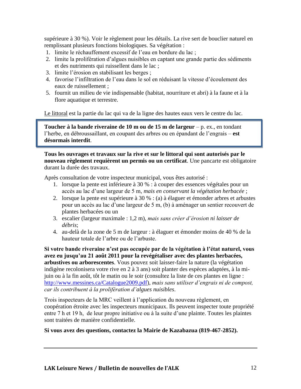supérieure à 30 %). Voir le règlement pour les détails. La rive sert de bouclier naturel en remplissant plusieurs fonctions biologiques. Sa végétation :

- 1. limite le réchauffement excessif de l'eau en bordure du lac ;
- 2. limite la prolifération d'algues nuisibles en captant une grande partie des sédiments et des nutriments qui ruissellent dans le lac ;
- 3. limite l'érosion en stabilisant les berges ;
- 4. favorise l'infiltration de l'eau dans le sol en réduisant la vitesse d'écoulement des eaux de ruissellement ;
- 5. fournit un milieu de vie indispensable (habitat, nourriture et abri) à la faune et à la flore aquatique et terrestre.

Le littoral est la partie du lac qui va de la ligne des hautes eaux vers le centre du lac.

**Toucher à la bande riveraine de 10 m ou de 15 m de largeur** – p. ex., en tondant l'herbe, en débroussaillant, en coupant des arbres ou en épandant de l'engrais – **est désormais interdit**.

**Tous les ouvrages et travaux sur la rive et sur le littoral qui sont autorisés par le nouveau règlement requièrent un permis ou un certificat**. Une pancarte est obligatoire durant la durée des travaux.

Après consultation de votre inspecteur municipal, vous êtes autorisé :

- 1. lorsque la pente est inférieure à 30 % : à couper des essences végétales pour un accès au lac d'une largeur de 5 m, *mais en conservant la végétation herbacée* ;
- 2. lorsque la pente est supérieure à 30 % : (a) à élaguer et émonder arbres et arbustes pour un accès au lac d'une largeur de 5 m, (b) à aménager un sentier recouvert de plantes herbacées ou un
- 3. escalier (largeur maximale : 1,2 m), *mais sans créer d'érosion ni laisser de débris*;
- 4. au-delà de la zone de 5 m de largeur : à élaguer et émonder moins de 40 % de la hauteur totale de l'arbre ou de l'arbuste.

**Si votre bande riveraine n'est pas occupée par de la végétation à l'état naturel, vous avez eu jusqu'au 21 août 2011 pour la revégétaliser avec des plantes herbacées, arbustives ou arborescentes**. Vous pouvez soit laisser-faire la nature (la végétation indigène recolonisera votre rive en 2 à 3 ans) soit planter des espèces adaptées, à la mijuin ou à la fin août, tôt le matin ou le soir (consultez la liste de ces plantes en ligne : [http://www.messines.ca/Catalogue2009.pdf\)](http://www.messines.ca/Catalogue2009.pdf), *mais sans utiliser d'engrais ni de compost, car ils contribuent à la prolifération d'algues nuisibles*.

Trois inspecteurs de la MRC veillent à l'application du nouveau règlement, en coopération étroite avec les inspecteurs municipaux. Ils peuvent inspecter toute propriété entre 7 h et 19 h, de leur propre initiative ou à la suite d'une plainte. Toutes les plaintes sont traitées de manière confidentielle.

#### **Si vous avez des questions, contactez la Mairie de Kazabazua (819-467-2852).**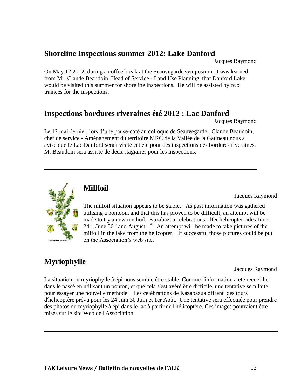### **Shoreline Inspections summer 2012: Lake Danford**

Jacques Raymond

On May 12 2012, during a coffee break at the Seauvegarde symposium, it was learned from Mr. Claude Beaudoin Head of Service - Land Use Planning, that Danford Lake would be visited this summer for shoreline inspections. He will be assisted by two trainees for the inspections.

### **Inspections bordures riveraines été 2012 : Lac Danford**

Jacques Raymond

Le 12 mai dernier, lors d'une pause-café au colloque de Seauvegarde. Claude Beaudoin, chef de service - Aménagement du territoire MRC de la Vallée de la Gatineau nous a avisé que le Lac Danford serait visité cet été pour des inspections des bordures riveraines. M. Beaudoin sera assisté de deux stagiaires pour les inspections.



### **Millfoil**

Jacques Raymond

The milfoil situation appears to be stable. As past information was gathered utilising a pontoon, and that this has proven to be difficult, an attempt will be made to try a new method. Kazabazua celebrations offer helicopter rides June  $24<sup>th</sup>$ , June 30<sup>th</sup> and August 1<sup>st.</sup> An attempt will be made to take pictures of the milfoil in the lake from the helicopter. If successful those pictures could be put on the Association's web site.

### **Myriophylle**

Jacques Raymond

La situation du myriophylle à épi nous semble être stable. Comme l'information a été recueillie dans le passé en utilisant un ponton, et que cela s'est avéré être difficile, une tentative sera faite pour essayer une nouvelle méthode. Les célébrations de Kazabazua offrent des tours d'hélicoptère prévu pour les 24 Juin 30 Juin et 1er Août. Une tentative sera effectuée pour prendre des photos du myriophylle à épi dans le lac à partir de l'hélicoptère. Ces images pourraient être mises sur le site Web de l'Association.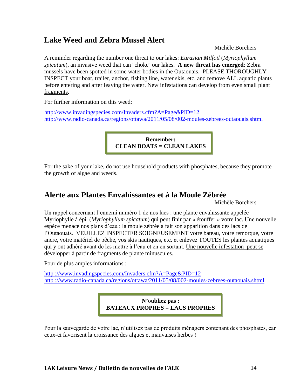### **Lake Weed and Zebra Mussel Alert**

Michèle Borchers

A reminder regarding the number one threat to our lakes: *Eurasian Milfoil* (*Myriophyllum spicatum*), an invasive weed that can ¨choke¨ our lakes. **A new threat has emerged**: Zebra mussels have been spotted in some water bodies in the Outaouais. PLEASE THOROUGHLY INSPECT your boat, trailer, anchor, fishing line, water skis, etc. and remove ALL aquatic plants before entering and after leaving the water. New infestations can develop from even small plant fragments.

For further information on this weed:

<http://www.invadingspecies.com/Invaders.cfm?A=Page&PID=12> <http://www.radio-canada.ca/regions/ottawa/2011/05/08/002-moules-zebrees-outaouais.shtml>

> **Remember: CLEAN BOATS = CLEAN LAKES**

For the sake of your lake, do not use household products with phosphates, because they promote the growth of algae and weeds.

### **Alerte aux Plantes Envahissantes et à la Moule Zébrée**

Michèle Borchers

Un rappel concernant l'ennemi numéro 1 de nos lacs : une plante envahissante appelée Myriophylle à épi (*Myriophyllum spicatum*) qui peut finir par « étouffer » votre lac. Une nouvelle espèce menace nos plans d'eau : la moule zébrée a fait son apparition dans des lacs de l'Outaouais. VEUILLEZ INSPECTER SOIGNEUSEMENT votre bateau, votre remorque, votre ancre, votre matériel de pêche, vos skis nautiques, etc. et enlevez TOUTES les plantes aquatiques qui y ont adhéré avant de les mettre à l'eau et en en sortant. Une nouvelle infestation peut se développer à partir de fragments de plante minuscules.

Pour de plus amples informations :

http[://www.invadingspecies.com/Invaders.cfm?A=Page&PID=12](http://www.invadingspecies.com/Invaders.cfm?A=Page&PID=12) http [://www.radio-canada.ca/regions/ottawa/2011/05/08/002-moules-zebrees-outaouais.shtml](http://www.radio-canada.ca/regions/ottawa/2011/05/08/002-moules-zebrees-outaouais.shtml)

> **N'oubliez pas : BATEAUX PROPRES = LACS PROPRES**

Pour la sauvegarde de votre lac, n'utilisez pas de produits ménagers contenant des phosphates, car ceux-ci favorisent la croissance des algues et mauvaises herbes !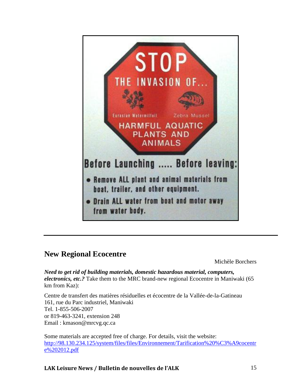

### **New Regional Ecocentre**

Michèle Borchers

*Need to get rid of building materials, domestic hazardous material, computers, electronics, etc.?* Take them to the MRC brand-new regional Ecocentre in Maniwaki (65 km from Kaz):

Centre de transfert des matières résiduelles et écocentre de la Vallée-de-la-Gatineau 161, rue du Parc industriel, Maniwaki Tel. 1-855-506-2007 or 819-463-3241, extension 248 Email : kmason@mrcvg.qc.ca

Some materials are accepted free of charge. For details, visit the website: [http://98.130.234.125/system/files/files/Environnement/Tarification%20%C3%A9cocentr](http://98.130.234.125/system/files/files/Environnement/Tarification%20%C3%A9cocentre%202012.pdf) [e%202012.pdf](http://98.130.234.125/system/files/files/Environnement/Tarification%20%C3%A9cocentre%202012.pdf)

### **LAK Leisure News / Bulletin de nouvelles de l'ALK** 15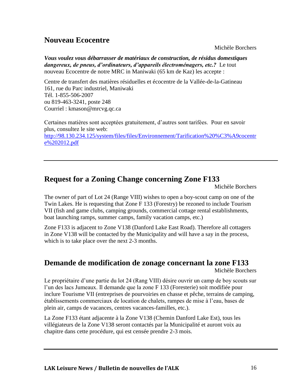### **Nouveau Ecocentre**

Michèle Borchers

*Vous voulez vous débarrasser de matériaux de construction, de résidus domestiques dangereux, de pneus, d'ordinateurs, d'appareils électroménagers, etc.?* Le tout nouveau Ecocentre de notre MRC in Maniwaki (65 km de Kaz) les accepte :

Centre de transfert des matières résiduelles et écocentre de la Vallée-de-la-Gatineau 161, rue du Parc industriel, Maniwaki Tél. 1-855-506-2007 ou 819-463-3241, poste 248 Courriel : kmason@mrcvg.qc.ca

Certaines matières sont acceptées gratuitement, d'autres sont tarifées. Pour en savoir plus, consultez le site web: [http://98.130.234.125/system/files/files/Environnement/Tarification%20%C3%A9cocentr](http://98.130.234.125/system/files/files/Environnement/Tarification%20%C3%A9cocentre%202012.pdf) [e%202012.pdf](http://98.130.234.125/system/files/files/Environnement/Tarification%20%C3%A9cocentre%202012.pdf)

### **Request for a Zoning Change concerning Zone F133**

Michèle Borchers

The owner of part of Lot 24 (Range VIII) wishes to open a boy-scout camp on one of the Twin Lakes. He is requesting that Zone F 133 (Forestry) be rezoned to include Tourism VII (fish and game clubs, camping grounds, commercial cottage rental establishments, boat launching ramps, summer camps, family vacation camps, etc.)

Zone F133 is adjacent to Zone V138 (Danford Lake East Road). Therefore all cottagers in Zone V138 will be contacted by the Municipality and will have a say in the process, which is to take place over the next 2-3 months.

### **Demande de modification de zonage concernant la zone F133**

Michèle Borchers

Le propriétaire d'une partie du lot 24 (Rang VIII) désire ouvrir un camp de boy scouts sur l'un des lacs Jumeaux. Il demande que la zone F 133 (Foresterie) soit modifiée pour inclure Tourisme VII (entreprises de pourvoiries en chasse et pêche, terrains de camping, établissements commerciaux de location de chalets, rampes de mise à l'eau, bases de plein air, camps de vacances, centres vacances-familles, etc.).

La Zone F133 étant adjacente à la Zone V138 (Chemin Danford Lake Est), tous les villégiateurs de la Zone V138 seront contactés par la Municipalité et auront voix au chapitre dans cette procédure, qui est censée prendre 2-3 mois.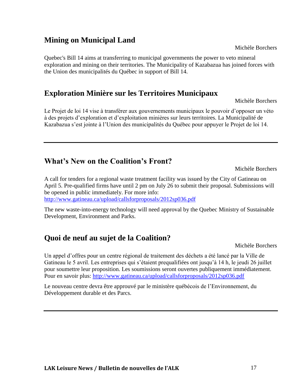### **Mining on Municipal Land**

Quebec's Bill 14 aims at transferring to municipal governments the power to veto mineral exploration and mining on their territories. The Municipality of Kazabazua has joined forces with the Union des municipalités du Québec in support of Bill 14.

### **Exploration Minière sur les Territoires Municipaux**

Michèle Borchers

Le Projet de loi 14 vise à transférer aux gouvernements municipaux le pouvoir d'opposer un véto à des projets d'exploration et d'exploitation minières sur leurs territoires. La Municipalité de Kazabazua s'est jointe à l'Union des municipalités du Québec pour appuyer le Projet de loi 14.

### **What's New on the Coalition's Front?**

Michèle Borchers

A call for tenders for a regional waste treatment facility was issued by the City of Gatineau on April 5. Pre-qualified firms have until 2 pm on July 26 to submit their proposal. Submissions will be opened in public immediately. For more info: <http://www.gatineau.ca/upload/callsforproposals/2012sp036.pdf>

The new waste-into-energy technology will need approval by the Quebec Ministry of Sustainable Development, Environment and Parks.

### **Quoi de neuf au sujet de la Coalition?**

Michèle Borchers

Un appel d'offres pour un centre régional de traitement des déchets a été lancé par la Ville de Gatineau le 5 avril. Les entreprises qui s'étaient prequalifiées ont jusqu'à 14 h, le jeudi 26 juillet pour soumettre leur proposition. Les soumissions seront ouvertes publiquement immédiatement. Pour en savoir plus:<http://www.gatineau.ca/upload/callsforproposals/2012sp036.pdf>

Le nouveau centre devra être approuvé par le ministère québécois de l'Environnement, du Développement durable et des Parcs.

Michèle Borchers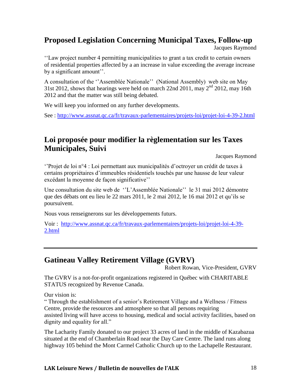### **Proposed Legislation Concerning Municipal Taxes, Follow-up**

Jacques Raymond

''Law project number 4 permitting municipalities to grant a tax credit to certain owners of residential properties affected by a an increase in value exceeding the average increase by a significant amount''.

A consultation of the ''Assemblée Nationale'' (National Assembly) web site on May 31st 2012, shows that hearings were held on march 22nd 2011, may  $2<sup>nd</sup>$  2012, may 16th 2012 and that the matter was still being debated.

We will keep you informed on any further developments.

See :<http://www.assnat.qc.ca/fr/travaux-parlementaires/projets-loi/projet-loi-4-39-2.html>

### **Loi proposée pour modifier la règlementation sur les Taxes Municipales, Suivi**

Jacques Raymond

''Projet de loi n°4 : Loi permettant aux municipalités d'octroyer un crédit de taxes à certains propriétaires d'immeubles résidentiels touchés par une hausse de leur valeur excédant la moyenne de façon significative''

Une consultation du site web de ''L'Assemblée Nationale'' le 31 mai 2012 démontre que des débats ont eu lieu le 22 mars 2011, le 2 mai 2012, le 16 mai 2012 et qu'ils se poursuivent.

Nous vous renseignerons sur les développements futurs.

Voir : [http://www.assnat.qc.ca/fr/travaux-parlementaires/projets-loi/projet-loi-4-39-](http://www.assnat.qc.ca/fr/travaux-parlementaires/projets-loi/projet-loi-4-39-2.html) [2.html](http://www.assnat.qc.ca/fr/travaux-parlementaires/projets-loi/projet-loi-4-39-2.html)

### **Gatineau Valley Retirement Village (GVRV)**

Robert Rowan, Vice-President, GVRV

The GVRV is a not-for-profit organizations registered in Québec with CHARITABLE STATUS recognized by Revenue Canada.

Our vision is:

" Through the establishment of a senior's Retirement Village and a Wellness / Fitness Centre, provide the resources and atmosphere so that all persons requiring assisted living will have access to housing, medical and social activity facilities, based on dignity and equality for all."

The Lacharity Family donated to our project 33 acres of land in the middle of Kazabazua situated at the end of Chamberlain Road near the Day Care Centre. The land runs along highway 105 behind the Mont Carmel Catholic Church up to the Lachapelle Restaurant.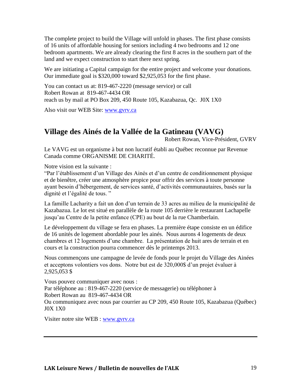The complete project to build the Village will unfold in phases. The first phase consists of 16 units of affordable housing for seniors including 4 two bedrooms and 12 one bedroom apartments. We are already clearing the first 8 acres in the southern part of the land and we expect construction to start there next spring.

We are initiating a Capital campaign for the entire project and welcome your donations. Our immediate goal is \$320,000 toward \$2,925,053 for the first phase.

You can contact us at: 819-467-2220 (message service) or call Robert Rowan at 819-467-4434 OR reach us by mail at PO Box 209, 450 Route 105, Kazabazua, Qc. J0X 1X0

Also visit our WEB Site: [www.gvrv.ca](http://www.gvrv.ca/)

### **Village des Ainés de la Vallée de la Gatineau (VAVG)**

Robert Rowan, Vice-Président, GVRV

Le VAVG est un organisme à but non lucratif établi au Québec reconnue par Revenue Canada comme ORGANISME DE CHARITÉ.

Notre vision est la suivante :

"Par l'établissement d'un Village des Ainés et d'un centre de conditionnement physique et de bienêtre, créer une atmosphère propice pour offrir des services à toute personne ayant besoin d'hébergement, de services santé, d'activités communautaires, basés sur la dignité et l'égalité de tous. "

La famille Lacharity a fait un don d'un terrain de 33 acres au milieu de la municipalité de Kazabazua. Le lot est situé en parallèle de la route 105 derrière le restaurant Lachapelle jusqu'au Centre de la petite enfance (CPE) au bout de la rue Chamberlain.

Le développement du village se fera en phases. La première étape consiste en un édifice de 16 unités de logement abordable pour les ainés. Nous aurons 4 logements de deux chambres et 12 logements d'une chambre. La présentation de huit ares de terrain et en cours et la construction pourra commencer dès le printemps 2013.

Nous commençons une campagne de levée de fonds pour le projet du Village des Ainées et acceptons volontiers vos dons. Notre but est de 320,000\$ d'un projet évaluer à 2,925,053 \$

Vous pouvez communiquer avec nous : Par téléphone au : 819-467-2220 (service de messagerie) ou téléphoner à Robert Rowan au 819-467-4434 OR Ou communiquez avec nous par courrier au CP 209, 450 Route 105, Kazabazua (Québec) J0X 1X0

Visiter notre site WEB : [www.gvrv.ca](http://www.gvrv.ca/)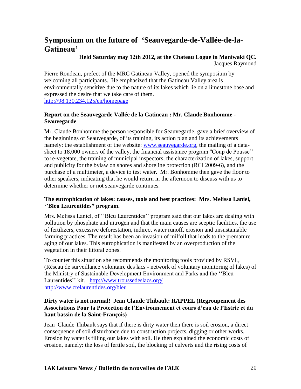### **Symposium on the future of 'Seauvegarde-de-Vallée-de-la-Gatineau'**

**Held Saturday may 12th 2012, at the Chateau Logue in Maniwaki QC.**

Jacques Raymond

Pierre Rondeau, prefect of the MRC Gatineau Valley, opened the symposium by welcoming all participants. He emphasized that the Gatineau Valley area is environmentally sensitive due to the nature of its lakes which lie on a limestone base and expressed the desire that we take care of them. <http://98.130.234.125/en/homepage>

### **Report on the Seauvegarde Vallée de la Gatineau : Mr. Claude Bonhomme - Seauvegarde**

Mr. Claude Bonhomme the person responsible for Seauvegarde, gave a brief overview of the beginnings of Seauvegarde, of its training, its action plan and its achievements namely: the establishment of the website: [www.seauvegarde.org,](http://www.seauvegarde.org/) the mailing of a datasheet to 18,000 owners of the valley, the financial assistance program ''Coup de Pousse'' to re-vegetate, the training of municipal inspectors, the characterization of lakes, support and publicity for the bylaw on shores and shoreline protection (RCI 2009-6), and the purchase of a multimeter, a device to test water. Mr. Bonhomme then gave the floor to other speakers, indicating that he would return in the afternoon to discuss with us to determine whether or not seauvegarde continues.

### **The eutrophication of lakes: causes, tools and best practices: Mrs. Melissa Laniel, ''Bleu Laurentides" program.**

Mrs. Melissa Laniel, of ''Bleu Laurentides'' program said that our lakes are dealing with pollution by phosphate and nitrogen and that the main causes are sceptic facilities, the use of fertilizers, excessive deforestation, indirect water runoff, erosion and unsustainable farming practices. The result has been an invasion of milfoil that leads to the premature aging of our lakes. This eutrophication is manifested by an overproduction of the vegetation in their littoral zones.

To counter this situation she recommends the monitoring tools provided by RSVL, (Réseau de surveillance volontaire des lacs - network of voluntary monitoring of lakes) of the Ministry of Sustainable Development Environment and Parks and the ''Bleu Laurentides'' kit. <http://www.troussedeslacs.org/> <http://www.crelaurentides.org/bleu>

### **Dirty water is not normal! Jean Claude Thibault: RAPPEL (Regroupement des Associations Pour la Protection de l'Environnement et cours d'eau de l'Estrie et du haut bassin de la Saint-François)**

Jean Claude Thibault says that if there is dirty water then there is soil erosion, a direct consequence of soil disturbance due to construction projects, digging or other works. Erosion by water is filling our lakes with soil. He then explained the economic costs of erosion, namely: the loss of fertile soil, the blocking of culverts and the rising costs of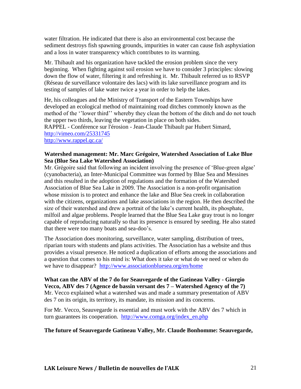water filtration. He indicated that there is also an environmental cost because the sediment destroys fish spawning grounds, impurities in water can cause fish asphyxiation and a loss in water transparency which contributes to its warming.

Mr. Thibault and his organization have tackled the erosion problem since the very beginning. When fighting against soil erosion we have to consider 3 principles: slowing down the flow of water, filtering it and refreshing it. Mr. Thibault referred us to RSVP (Réseau de surveillance volontaire des lacs) with its lake surveillance program and its testing of samples of lake water twice a year in order to help the lakes.

He, his colleagues and the Ministry of Transport of the Eastern Townships have developed an ecological method of maintaining road ditches commonly known as the method of the ''lower third'' whereby they clean the bottom of the ditch and do not touch the upper two thirds, leaving the vegetation in place on both sides. RAPPEL - Conférence sur l'érosion - Jean-Claude Thibault par Hubert Simard, <http://vimeo.com/25331745> <http://www.rappel.qc.ca/>

#### **Watershed management: Mr. Marc Grégoire, Watershed Association of Lake Blue Sea (Blue Sea Lake Watershed Association)**

Mr. Grégoire said that following an incident involving the presence of 'Blue-green algae' (cyanobacteria), an Inter-Municipal Committee was formed by Blue Sea and Messines and this resulted in the adoption of regulations and the formation of the Watershed Association of Blue Sea Lake in 2009. The Association is a non-profit organisation whose mission is to protect and enhance the lake and Blue Sea creek in collaboration with the citizens, organizations and lake associations in the region. He then described the size of their watershed and drew a portrait of the lake's current health, its phosphate, milfoil and algae problems. People learned that the Blue Sea Lake gray trout is no longer capable of reproducing naturally so that its presence is ensured by seeding. He also stated that there were too many boats and sea-doo's.

The Association does monitoring, surveillance, water sampling, distribution of trees, riparian tours with students and plans activities. The Association has a website and thus provides a visual presence. He noticed a duplication of efforts among the associations and a question that comes to his mind is: What does it take or what do we need or when do we have to disappear? <http://www.associationbluesea.org/en/home>

**What can the ABV of the 7 do for Seauvegarde of the Gatineau Valley - Giorgio Vecco, ABV des 7 (Agence de bassin versant des 7 – Watershed Agency of the 7)** Mr. Vecco explained what a watershed was and made a summary presentation of ABV des 7 on its origin, its territory, its mandate, its mission and its concerns.

For Mr. Vecco, Seauvegarde is essential and must work with the ABV des 7 which in turn guarantees its cooperation. [http://www.comga.org/index\\_en.php](http://www.comga.org/index_en.php)

#### **The future of Seauvegarde Gatineau Valley, Mr. Claude Bonhomme: Seauvegarde,**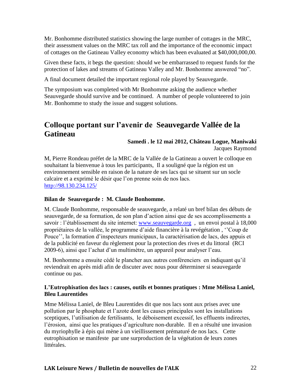Mr. Bonhomme distributed statistics showing the large number of cottages in the MRC, their assessment values on the MRC tax roll and the importance of the economic impact of cottages on the Gatineau Valley economy which has been evaluated at \$40,000,000,00.

Given these facts, it begs the question: should we be embarrassed to request funds for the protection of lakes and streams of Gatineau Valley and Mr. Bonhomme answered "no".

A final document detailed the important regional role played by Seauvegarde.

The symposium was completed with Mr Bonhomme asking the audience whether Seauvegarde should survive and be continued. A number of people volunteered to join Mr. Bonhomme to study the issue and suggest solutions.

### **Colloque portant sur l'avenir de Seauvegarde Vallée de la Gatineau**

#### **Samedi . le 12 mai 2012, Château Logue, Maniwaki** Jacques Raymond

M, Pierre Rondeau préfet de la MRC de la Vallée de la Gatineau a ouvert le colloque en souhaitant la bienvenue à tous les participants, Il a souligné que la région est un environnement sensible en raison de la nature de ses lacs qui se situent sur un socle calcaire et a exprimé le désir que l'on prenne soin de nos lacs. <http://98.130.234.125/>

#### **Bilan de Seauvegarde : M. Claude Bonhomme.**

M. Claude Bonhomme, responsable de seauvegarde, a relaté un bref bilan des débuts de seauvegarde, de sa formation, de son plan d'action ainsi que de ses accomplissements a savoir : l'établissement du site internet: www.seauvegarde.org, un envoi postal à 18,000 propriétaires de la vallée, le programme d'aide financière à la revégétation , ''Coup de Pouce'', la formation d'inspecteurs municipaux, la caractérisation de lacs, des appuis et de la publicité en faveur du règlement pour la protection des rives et du littoral (RCI 2009-6), ainsi que l'achat d'un multimètre, un appareil pour analyser l'eau.

M. Bonhomme a ensuite cédé le plancher aux autres conférenciers en indiquant qu'il reviendrait en après midi afin de discuter avec nous pour déterminer si seauvegarde continue ou pas.

#### **L'Eutrophisation des lacs : causes, outils et bonnes pratiques : Mme Mélissa Laniel, Bleu Laurentides**

Mme Mélissa Laniel, de Bleu Laurentides dit que nos lacs sont aux prises avec une pollution par le phosphate et l'azote dont les causes principales sont les installations sceptiques, l'utilisation de fertilisants, le déboisement excessif, les effluents indirectes, l'érosion, ainsi que les pratiques d'agriculture non-durable. Il en a résulté une invasion du myriophylle à épis qui mène à un vieillissement prématuré de nos lacs. Cette eutrophisation se manifeste par une surproduction de la végétation de leurs zones littérales.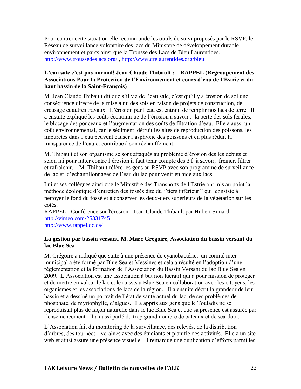Pour contrer cette situation elle recommande les outils de suivi proposés par le RSVP, le Réseau de surveillance volontaire des lacs du Ministère de développement durable environnement et parcs ainsi que la Trousse des Lacs de Bleu Laurentides. <http://www.troussedeslacs.org/> ,<http://www.crelaurentides.org/bleu>

#### **L'eau sale c'est pas normal! Jean Claude Thibault : –RAPPEL (Regroupement des Associations Pour la Protection de l'Environnement et cours d'eau de l'Estrie et du haut bassin de la Saint-François)**

M. Jean Claude Thibault dit que s'il y a de l'eau sale, c'est qu'il y a érosion de sol une conséquence directe de la mise à nu des sols en raison de projets de construction, de creusage et autres travaux. L'érosion par l'eau est entrain de remplir nos lacs de terre. Il a ensuite expliqué les coûts économique de l'érosion a savoir : la perte des sols fertiles, le blocage des ponceaux et l'augmentation des coûts de filtration d'eau. Elle a aussi un coût environnemental, car le sédiment détruit les sites de reproduction des poissons, les impuretés dans l'eau peuvent causer l'asphyxie des poissons et en plus réduit la transparence de l'eau et contribue à son réchauffement.

M. Thibault et son organisme se sont attaqués au problème d'érosion dès les débuts et selon lui pour lutter contre l'érosion il faut tenir compte des 3 f à savoir, freiner, filtrer et rafraichir. M. Thibault réfère les gens au RSVP avec son programme de surveillance de lac et d'échantillonnages de l'eau du lac pour venir en aide aux lacs.

Lui et ses collègues ainsi que le Ministère des Transports de l'Estrie ont mis au point la méthode écologique d'entretien des fossés dite du ''tiers inférieur'' qui consiste à nettoyer le fond du fossé et à conserver les deux-tiers supérieurs de la végétation sur les cotés.

RAPPEL - Conférence sur l'érosion - Jean-Claude Thibault par Hubert Simard, <http://vimeo.com/25331745> <http://www.rappel.qc.ca/>

#### **La gestion par bassin versant, M. Marc Grégoire, Association du bassin versant du lac Blue Sea**

M. Grégoire a indiqué que suite à une présence de cyanobactérie, un comité intermunicipal a été formé par Blue Sea et Messines et cela a résulté en l'adoption d'une règlementation et la formation de l'Association du Bassin Versant du lac Blue Sea en 2009. L'Association est une association à but non lucratif qui a pour mission de protéger et de mettre en valeur le lac et le ruisseau Blue Sea en collaboration avec les citoyens, les organismes et les associations de lacs de la région. Il a ensuite décrit la grandeur de leur bassin et a dessiné un portrait de l'état de santé actuel du lac, de ses problèmes de phosphate, de myriophylle, d'algues. Il a appris aux gens que le Touladis ne se reproduisait plus de façon naturelle dans le lac Blue Sea et que sa présence est assurée par l'ensemencement. Il a aussi parlé du trop grand nombre de bateaux et de sea-doo .

L'Association fait du monitoring de la surveillance, des relevés, de la distribution d'arbres, des tournées riveraines avec des étudiants et planifie des activités. Elle a un site web et ainsi assure une présence visuelle. Il remarque une duplication d'efforts parmi les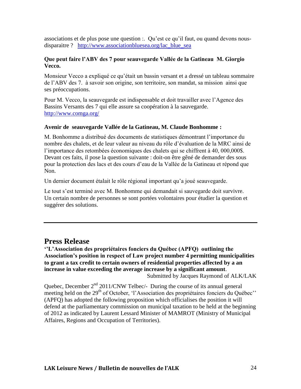associations et de plus pose une question :. Qu'est ce qu'il faut, ou quand devons nousdisparaitre ? [http://www.associationbluesea.org/lac\\_blue\\_sea](http://www.associationbluesea.org/lac_blue_sea)

#### **Que peut faire l'ABV des 7 pour seauvegarde Vallée de la Gatineau M. Giorgio Vecco.**

Monsieur Vecco a expliqué ce qu'était un bassin versant et a dressé un tableau sommaire de l'ABV des 7. à savoir son origine, son territoire, son mandat, sa mission ainsi que ses préoccupations.

Pour M. Vecco, la seauvegarde est indispensable et doit travailler avec l'Agence des Bassins Versants des 7 qui elle assure sa coopération à la sauvegarde. <http://www.comga.org/>

#### **Avenir de seauvegarde Vallée de la Gatineau, M. Claude Bonhomme :**

M. Bonhomme a distribué des documents de statistiques démontrant l'importance du nombre des chalets, et de leur valeur au niveau du rôle d'évaluation de la MRC ainsi de l'importance des retombées économiques des chalets qui se chiffrent à 40, 000,000\$. Devant ces faits, il pose la question suivante : doit-on être gêné de demander des sous pour la protection des lacs et des cours d'eau de la Vallée de la Gatineau et répond que Non.

Un dernier document étalait le rôle régional important qu'a joué seauvegarde.

Le tout s'est terminé avec M. Bonhomme qui demandait si sauvegarde doit survivre. Un certain nombre de personnes se sont portées volontaires pour étudier la question et suggérer des solutions.

### **Press Release**

**''L'Association des propriétaires fonciers du Québec (APFQ) outlining the Association's position in respect of Law project number 4 permitting municipalities to grant a tax credit to certain owners of residential properties affected by a an increase in value exceeding the average increase by a significant amount**. Submitted by Jacques Raymond of ALK/LAK

Quebec, December  $2<sup>nd</sup> 2011/CNW Telbec/- During the course of its annual general$ meeting held on the 29<sup>th</sup> of October, 'l'Association des propriétaires fonciers du Québec'' (APFQ) has adopted the following proposition which officialises the position it will defend at the parliamentary commission on municipal taxation to be held at the beginning of 2012 as indicated by Laurent Lessard Minister of MAMROT (Ministry of Municipal Affaires, Regions and Occupation of Territories).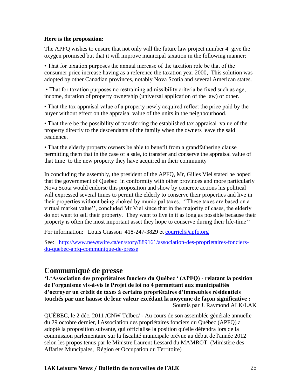#### **Here is the proposition:**

The APFQ wishes to ensure that not only will the future law project number 4 give the oxygen promised but that it will improve municipal taxation in the following manner:

• That for taxation purposes the annual increase of the taxation role be that of the consumer price increase having as a reference the taxation year 2000, This solution was adopted by other Canadian provinces, notably Nova Scotia and several American states.

• That for taxation purposes no restraining admissibility criteria be fixed such as age, income, duration of property ownership (universal application of the law) or other.

• That the tax appraisal value of a property newly acquired reflect the price paid by the buyer without effect on the appraisal value of the units in the neighbourhood.

• That there be the possibility of transferring the established tax appraisal value of the property directly to the descendants of the family when the owners leave the said residence.

• That the elderly property owners be able to benefit from a grandfathering clause permitting them that in the case of a sale, to transfer and conserve the appraisal value of that time to the new property they have acquired in their community

In concluding the assembly, the president of the APFQ, Mr, Gilles Viel stated he hoped that the government of Quebec in conformity with other provinces and more particularly Nova Scota would endorse this proposition and show by concrete actions his political will expressed several times to permit the elderly to conserve their properties and live in their properties without being choked by municipal taxes. ''These taxes are based on a virtual market value'', concluded Mr Viel since that in the majority of cases, the elderly do not want to sell their property. They want to live in it as long as possible because their property is often the most important asset they hope to conserve during their life-time''

For information: Louis Giasson 418-247-3829 et [courriel@apfq.org](mailto:courriel@apfq.org)

See: [http://www.newswire.ca/en/story/889161/association-des-proprietaires-fonciers](http://www.newswire.ca/en/story/889161/association-des-proprietaires-fonciers-du-quebec-apfq-communique-de-presse)[du-quebec-apfq-communique-de-presse](http://www.newswire.ca/en/story/889161/association-des-proprietaires-fonciers-du-quebec-apfq-communique-de-presse)

### **Communiqué de presse**

**'L'Association des propriétaires fonciers du Québec ' (APFQ) - relatant la position de l'organisme vis-à-vis le Projet de loi no 4 permettant aux municipalités d'octroyer un crédit de taxes à certains propriétaires d'immeubles résidentiels touchés par une hausse de leur valeur excédant la moyenne de façon significative :** Soumis par J. Raymond ALK/LAK

QUÉBEC, le 2 déc. 2011 /CNW Telbec/ - Au cours de son assemblée générale annuelle du 29 octobre dernier, l'Association des propriétaires fonciers du Québec (APFQ) a adopté la proposition suivante, qui officialise la position qu'elle défendra lors de la commission parlementaire sur la fiscalité municipale prévue au début de l'année 2012 selon les propos tenus par le Ministre Laurent Lessard du MAMROT. (Ministère des Affaries Muncipales, Région et Occupation du Territoire)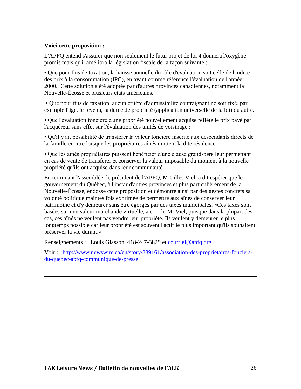#### **Voici cette proposition :**

L'APFQ entend s'assurer que non seulement le futur projet de loi 4 donnera l'oxygène promis mais qu'il améliora la législation fiscale de la façon suivante :

• Que pour fins de taxation, la hausse annuelle du rôle d'évaluation soit celle de l'indice des prix à la consommation (IPC), en ayant comme référence l'évaluation de l'année 2000. Cette solution a été adoptée par d'autres provinces canadiennes, notamment la Nouvelle-Écosse et plusieurs états américains.

• Que pour fins de taxation, aucun critère d'admissibilité contraignant ne soit fixé, par exemple l'âge, le revenu, la durée de propriété (application universelle de la loi) ou autre.

• Que l'évaluation foncière d'une propriété nouvellement acquise reflète le prix payé par l'acquéreur sans effet sur l'évaluation des unités de voisinage ;

• Qu'il y ait possibilité de transférer la valeur foncière inscrite aux descendants directs de la famille en titre lorsque les propriétaires aînés quittent la dite résidence

• Que les aînés propriétaires puissent bénéficier d'une clause grand-père leur permettant en cas de vente de transférer et conserver la valeur imposable du moment à la nouvelle propriété qu'ils ont acquise dans leur communauté.

En terminant l'assemblée, le président de l'APFQ, M Gilles Viel, a dit espérer que le gouvernement du Québec, à l'instar d'autres provinces et plus particulièrement de la Nouvelle-Écosse, endosse cette proposition et démontre ainsi par des gestes concrets sa volonté politique maintes fois exprimée de permettre aux aînés de conserver leur patrimoine et d'y demeurer sans être égorgés par des taxes municipales. «Ces taxes sont basées sur une valeur marchande virtuelle, a conclu M. Viel, puisque dans la plupart des cas, ces aînés ne veulent pas vendre leur propriété. Ils veulent y demeurer le plus longtemps possible car leur propriété est souvent l'actif le plus important qu'ils souhaitent préserver la vie durant.»

Renseignements : Louis Giasson 418-247-3829 et [courriel@apfq.org](mailto:courriel@apfq.org)

Voir : [http://www.newswire.ca/en/story/889161/association-des-proprietaires-fonciers](http://www.newswire.ca/en/story/889161/association-des-proprietaires-fonciers-du-quebec-apfq-communique-de-presse)[du-quebec-apfq-communique-de-presse](http://www.newswire.ca/en/story/889161/association-des-proprietaires-fonciers-du-quebec-apfq-communique-de-presse)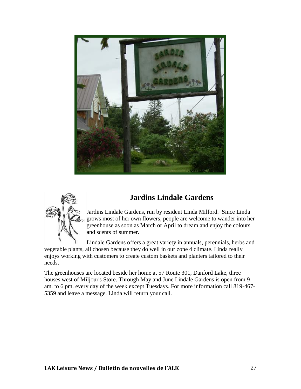

### **Jardins Lindale Gardens**



Jardins Lindale Gardens, run by resident Linda Milford. Since Linda grows most of her own flowers, people are welcome to wander into her greenhouse as soon as March or April to dream and enjoy the colours and scents of summer.

Lindale Gardens offers a great variety in annuals, perennials, herbs and vegetable plants, all chosen because they do well in our zone 4 climate. Linda really enjoys working with customers to create custom baskets and planters tailored to their needs.

The greenhouses are located beside her home at 57 Route 301, Danford Lake, three houses west of Miljour's Store. Through May and June Lindale Gardens is open from 9 am. to 6 pm. every day of the week except Tuesdays. For more information call 819-467- 5359 and leave a message. Linda will return your call.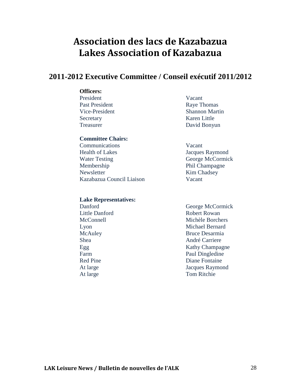### **Association des lacs de Kazabazua Lakes Association of Kazabazua**

### **2011-2012 Executive Committee / Conseil exécutif 2011/2012**

#### **Officers:**

President Vacant Past President Raye Thomas Secretary Karen Little

#### **Committee Chairs:**

 Communications Vacant Health of Lakes Jacques Raymond Water Testing George McCormick Membership Phil Champagne Newsletter Kim Chadsey Kazabazua Council Liaison Vacant

#### **Lake Representatives:**

Vice-President Shannon Martin Treasurer David Bonyun

 Danford George McCormick Little Danford Robert Rowan McConnell Michèle Borchers Lyon Michael Bernard McAuley Bruce Desarmia Shea André Carriere Egg Kathy Champagne Farm Paul Dingledine Red Pine **Diane** Fontaine At large Jacques Raymond At large Tom Ritchie